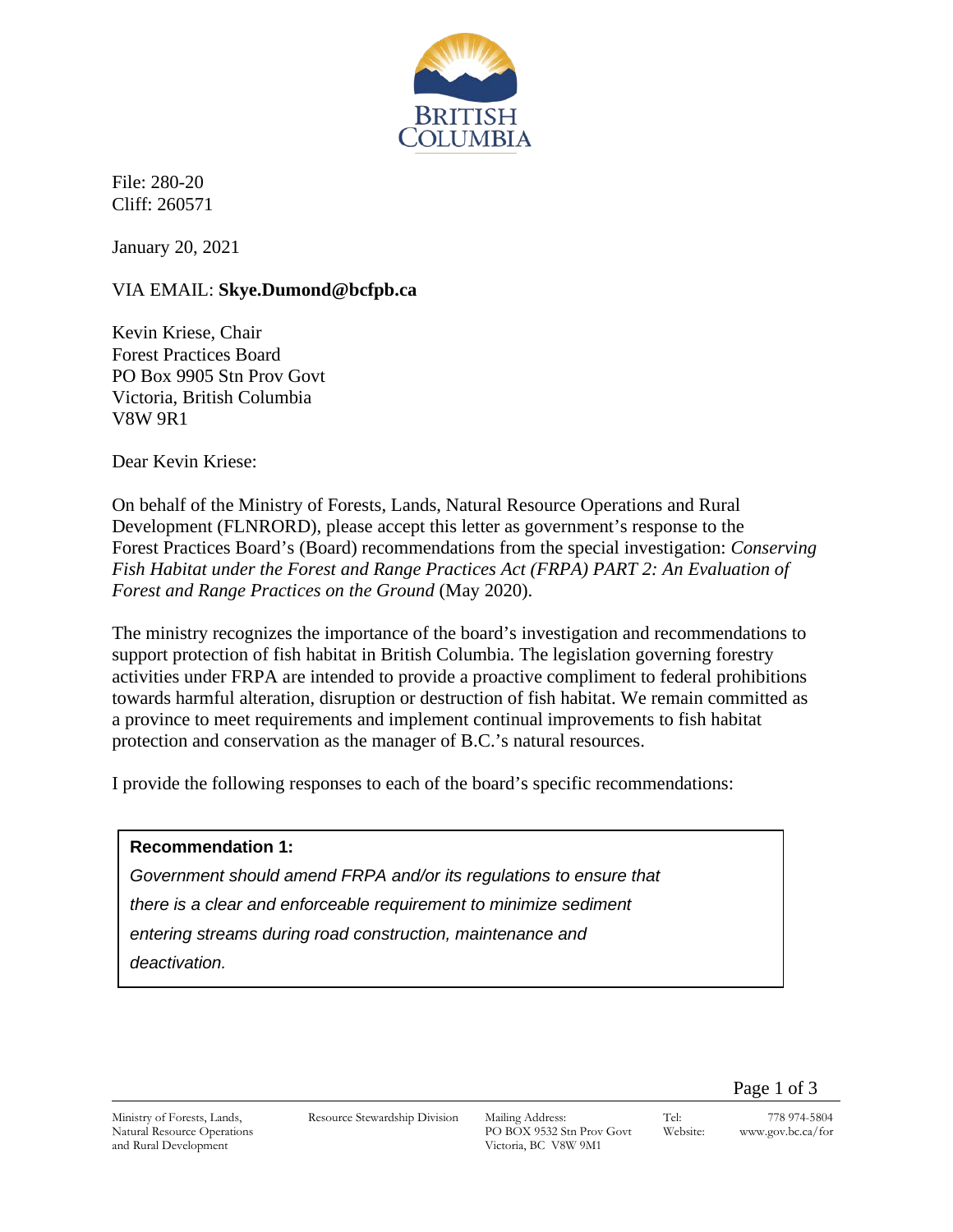

File: 280-20 Cliff: 260571

January 20, 2021

# VIA EMAIL: **Skye.Dumond@bcfpb.ca**

Kevin Kriese, Chair Forest Practices Board PO Box 9905 Stn Prov Govt Victoria, British Columbia V8W 9R1

Dear Kevin Kriese:

On behalf of the Ministry of Forests, Lands, Natural Resource Operations and Rural Development (FLNRORD), please accept this letter as government's response to the Forest Practices Board's (Board) recommendations from the special investigation: *Conserving Fish Habitat under the Forest and Range Practices Act (FRPA) PART 2: An Evaluation of Forest and Range Practices on the Ground* (May 2020).

The ministry recognizes the importance of the board's investigation and recommendations to support protection of fish habitat in British Columbia. The legislation governing forestry activities under FRPA are intended to provide a proactive compliment to federal prohibitions towards harmful alteration, disruption or destruction of fish habitat. We remain committed as a province to meet requirements and implement continual improvements to fish habitat protection and conservation as the manager of B.C.'s natural resources.

I provide the following responses to each of the board's specific recommendations:

## **Recommendation 1:**

*Government should amend FRPA and/or its regulations to ensure that there is a clear and enforceable requirement to minimize sediment entering streams during road construction, maintenance and deactivation.*

Page 1 of 3

Ministry of Forests, Lands, Natural Resource Operations and Rural Development

Resource Stewardship Division Mailing Address:

PO BOX 9532 Stn Prov Govt Victoria, BC V8W 9M1

Tel: 778 974-5804 Website: www.gov.bc.ca/for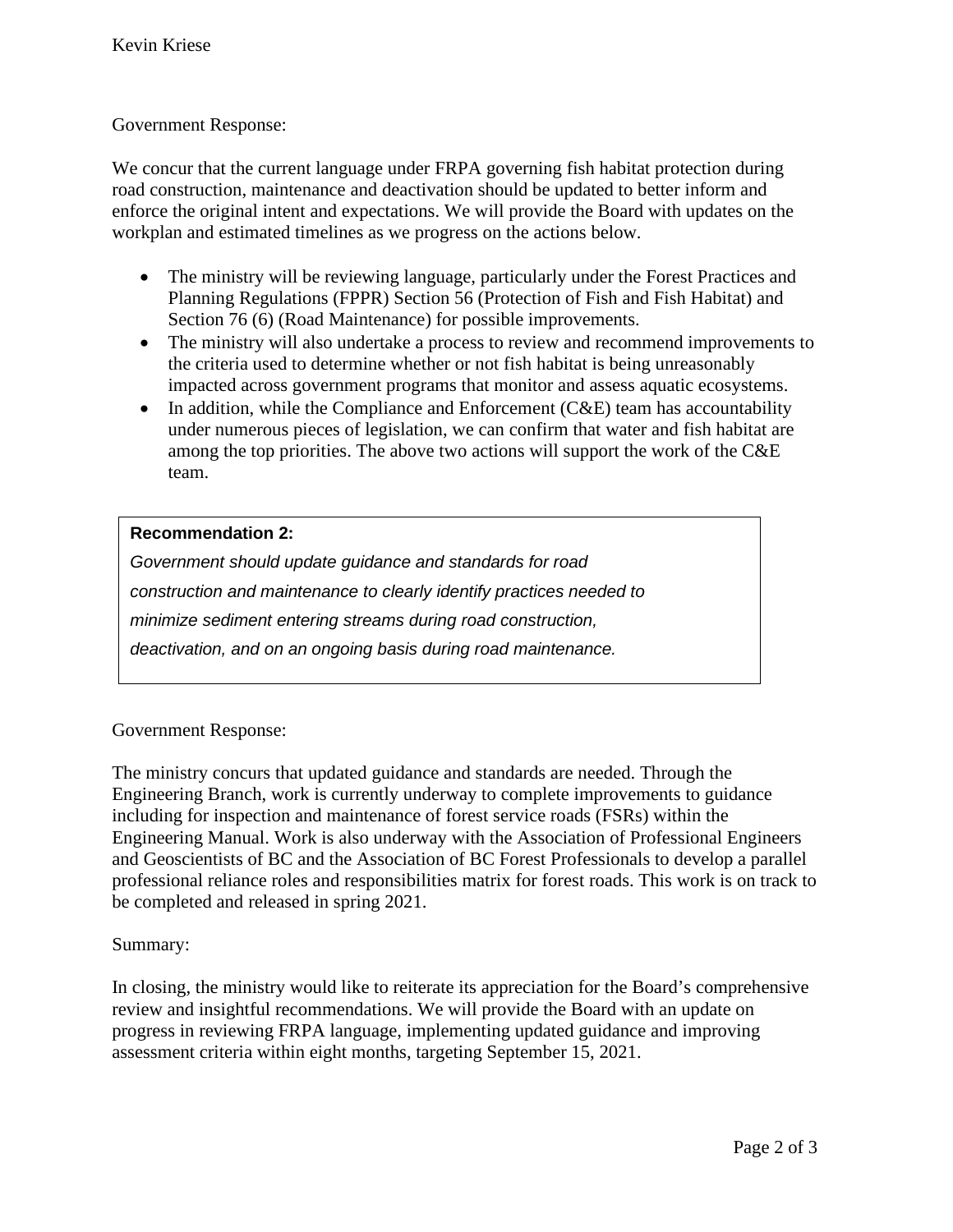# Government Response:

We concur that the current language under FRPA governing fish habitat protection during road construction, maintenance and deactivation should be updated to better inform and enforce the original intent and expectations. We will provide the Board with updates on the workplan and estimated timelines as we progress on the actions below.

- The ministry will be reviewing language, particularly under the Forest Practices and Planning Regulations (FPPR) Section 56 (Protection of Fish and Fish Habitat) and Section 76 (6) (Road Maintenance) for possible improvements.
- The ministry will also undertake a process to review and recommend improvements to the criteria used to determine whether or not fish habitat is being unreasonably impacted across government programs that monitor and assess aquatic ecosystems.
- In addition, while the Compliance and Enforcement  $(CAE)$  team has accountability under numerous pieces of legislation, we can confirm that water and fish habitat are among the top priorities. The above two actions will support the work of the C&E team.

# **Recommendation 2:**

*Government should update guidance and standards for road construction and maintenance to clearly identify practices needed to minimize sediment entering streams during road construction, deactivation, and on an ongoing basis during road maintenance.*

## Government Response:

The ministry concurs that updated guidance and standards are needed. Through the Engineering Branch, work is currently underway to complete improvements to guidance including for inspection and maintenance of forest service roads (FSRs) within the Engineering Manual. Work is also underway with the Association of Professional Engineers and Geoscientists of BC and the Association of BC Forest Professionals to develop a parallel professional reliance roles and responsibilities matrix for forest roads. This work is on track to be completed and released in spring 2021.

## Summary:

In closing, the ministry would like to reiterate its appreciation for the Board's comprehensive review and insightful recommendations. We will provide the Board with an update on progress in reviewing FRPA language, implementing updated guidance and improving assessment criteria within eight months, targeting September 15, 2021.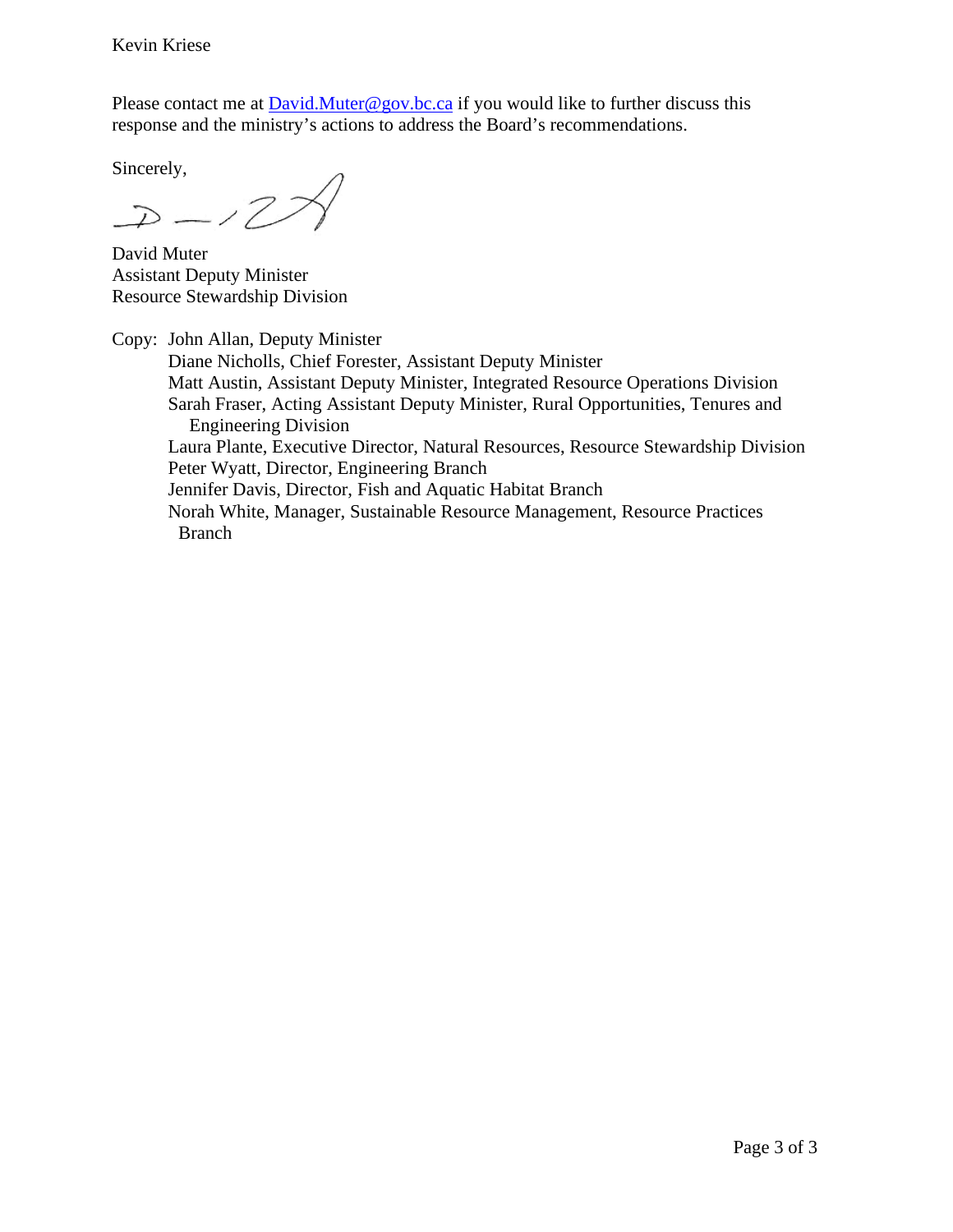Kevin Kriese

Please contact me at **David.Muter@gov.bc.ca** if you would like to further discuss this response and the ministry's actions to address the Board's recommendations.

Sincerely,

 $D-12$ 

David Muter Assistant Deputy Minister Resource Stewardship Division

Copy: John Allan, Deputy Minister Diane Nicholls, Chief Forester, Assistant Deputy Minister Matt Austin, Assistant Deputy Minister, Integrated Resource Operations Division Sarah Fraser, Acting Assistant Deputy Minister, Rural Opportunities, Tenures and Engineering Division Laura Plante, Executive Director, Natural Resources, Resource Stewardship Division Peter Wyatt, Director, Engineering Branch Jennifer Davis, Director, Fish and Aquatic Habitat Branch Norah White, Manager, Sustainable Resource Management, Resource Practices Branch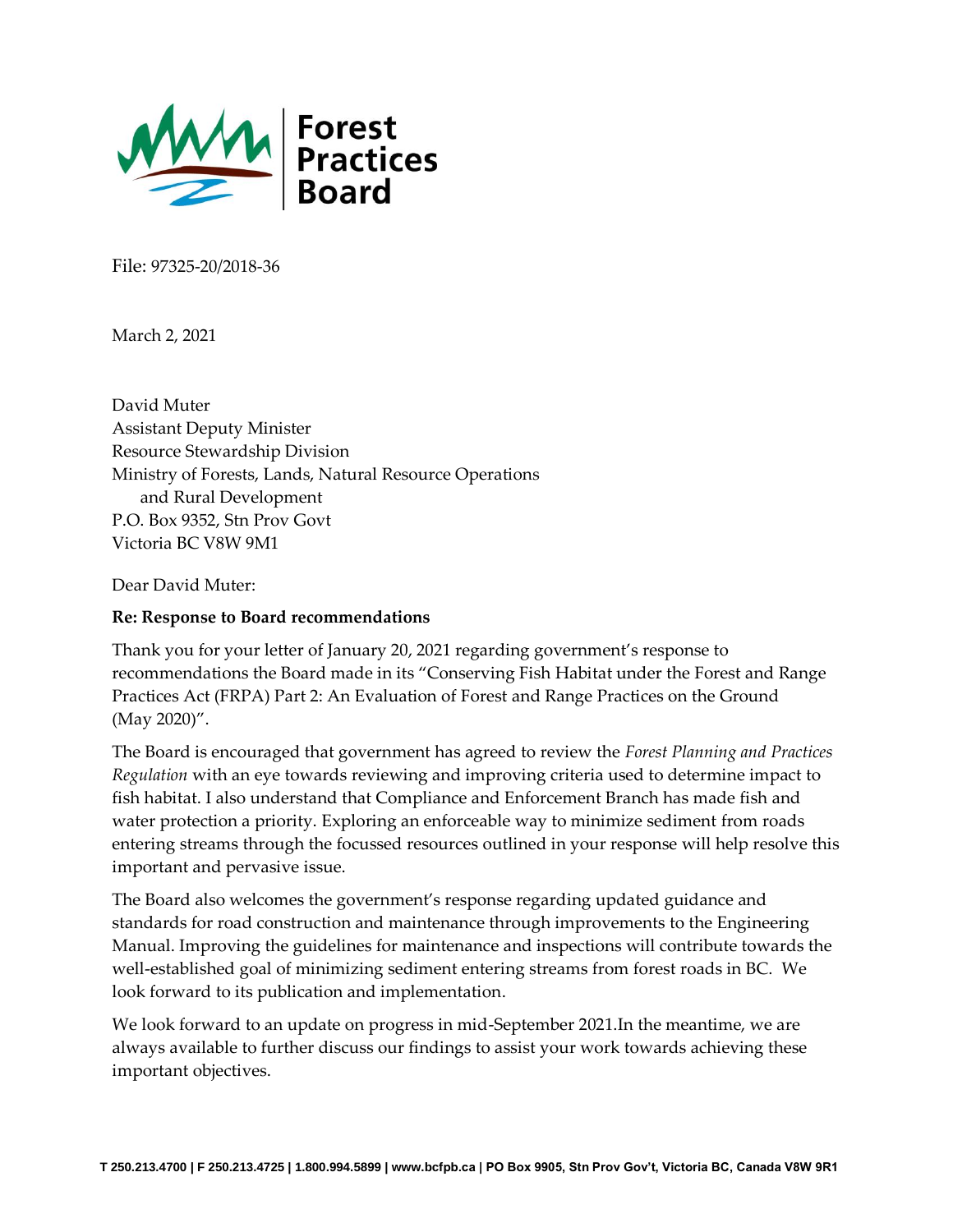

File: 97325-20/2018-36

March 2, 2021

David Muter Assistant Deputy Minister Resource Stewardship Division Ministry of Forests, Lands, Natural Resource Operations and Rural Development P.O. Box 9352, Stn Prov Govt Victoria BC V8W 9M1

Dear David Muter:

#### **Re: Response to Board recommendations**

Thank you for your letter of January 20, 2021 regarding government's response to recommendations the Board made in its "Conserving Fish Habitat under the Forest and Range Practices Act (FRPA) Part 2: An Evaluation of Forest and Range Practices on the Ground (May 2020)".

The Board is encouraged that government has agreed to review the *Forest Planning and Practices Regulation* with an eye towards reviewing and improving criteria used to determine impact to fish habitat. I also understand that Compliance and Enforcement Branch has made fish and water protection a priority. Exploring an enforceable way to minimize sediment from roads entering streams through the focussed resources outlined in your response will help resolve this important and pervasive issue.

The Board also welcomes the government's response regarding updated guidance and standards for road construction and maintenance through improvements to the Engineering Manual. Improving the guidelines for maintenance and inspections will contribute towards the well-established goal of minimizing sediment entering streams from forest roads in BC. We look forward to its publication and implementation.

We look forward to an update on progress in mid-September 2021.In the meantime, we are always available to further discuss our findings to assist your work towards achieving these important objectives.